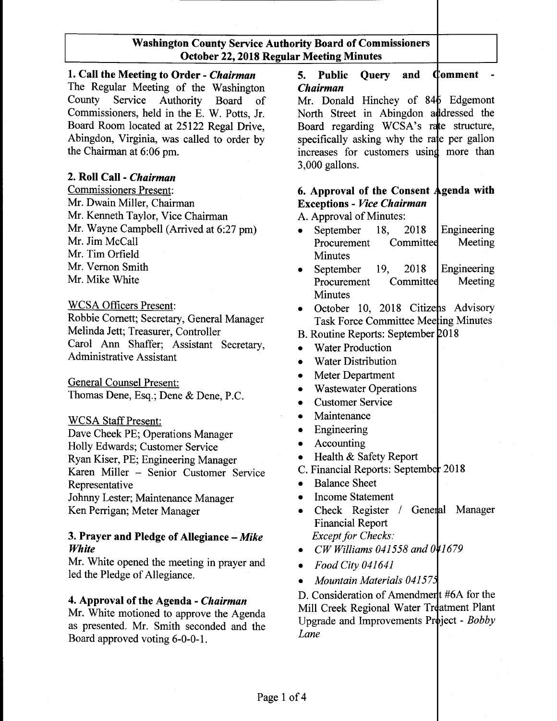1. Call the Meeting to Order - *Chairman* 5. Public Query and Comment The Regular Meeting of the Washington *Chairman* County Service Authority Board of Mr. Donald Hinchey of 846 Edgemont Commissioners, held in the E. W. Potts, Jr. North Street in Abingdon addressed the Board Room located at 25122 Regal Drive, Board regarding WCSA's rate structure, Abingdon, Virginia, was called to order by specifically asking why the rate per gallon Abingdon, Virginia, was called to order by the Chairman at 6:06 pm. The increases for customers using more than

#### 2. Roll Call - *Chairman*

Commissioners Present: Mr. Dwain Miller, Chairman Mr. Kenneth Taylor, Vice Chairman Mr. Wayne Campbell (Arrived at 6:27 pm) Mr. Jim McCall Mr. Tim Orfield Mr. Vernon Smith Mr. Mike White

#### WCSA Officers Present:

Robbie Cornett; Secretary, General Manager Melinda Jett; Treasurer, Controller Carol Ann Shaffer; Assistant Secretary, Administrative Assistant

General Counsel Present: Thomas Dene, Esq.; Dene & Dene, P.C.

**WCSA Staff Present:** 

Dave Cheek PE; Operations Manager Holly Edwards; Customer Service Ryan Kiser, PE; Engineering Manager Karen Miller - Senior Customer Service Representative Johnny Lester; Maintenance Manager Ken Perrigan; Meter Manager

#### 3. Prayer and Pledge of Allegiance - *Mike White*

Mr. White opened the meeting in prayer and led the Pledge of Allegiance.

#### 4. Approval of the Agenda - *Chairman*

Mr. White motioned to approve the Agenda as presented. Mr. Smith seconded and the Board approved voting 6-0-0-1.

3,000 gallons.

## 6. Approval of the Consent Agenda with Exceptions - *Vice Chairman*

A. Approval of Minutes:

- September 18, 2018 Engineering Procurement Committed Meeting **Minutes**
- September 19, 2018 Engineering Procurement Committee Meeting Minutes
- October 10, 2018 Citizens Advisory Task Force Committee Meeting Minutes
- B. Routine Reports: September 2018
- Water Production
- Water Distribution
- **Meter Department**
- **Wastewater Operations**
- Customer Service
- Maintenance
- Engineering
- Accounting
- Health & Safety Report
- C. Financial Reports: September 2018
- Balance Sheet
- Income Statement
- Check Register / General Manager Financial Report *Except for Checks:*
- *• CW Williams 041558 and 0 41679*
- *• Food City 041641*
- *• Mountain Materials 04157j*

D. Consideration of Amendmer t #6A for the Mill Creek Regional Water Treatment Plant Upgrade and Improvements Project - *Bobby Lane*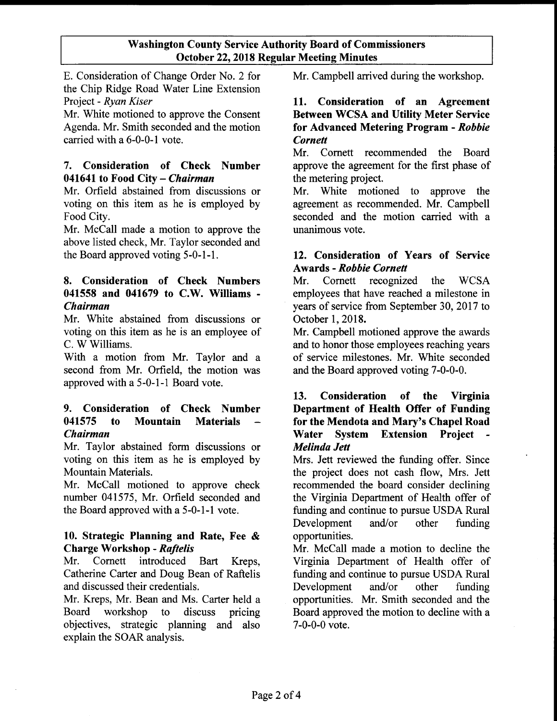E. Consideration of Change Order No. 2 for Mr. Campbell arrived during the workshop. the Chip Ridge Road Water Line Extension Project - *Ryan Kiser*

Mr. White motioned to approve the Consent Agenda. Mr. Smith seconded and the motion carried with a 6-0-0-1 vote.

# 7. Consideration of Check Number 041641 to Food City - *Chairman*

Mr. Orfield abstained from discussions or voting on this item as he is employed by Food City.

Mr. McCall made a motion to approve the above listed check, Mr. Taylor seconded and the Board approved voting 5-0-1-1.

# 8. Consideration of Check Numbers 041558 and 041679 to C.W. Williams - *Chairman*

Mr. White abstained from discussions or voting on this item as he is an employee of C. W Williams.

With a motion from Mr. Taylor and a second from Mr. Orfield, the motion was approved with a 5-0-1-1 Board vote.

# 9. Consideration of Check Number 041575 to Mountain Materials *Chairman*

Mr. Taylor abstained form discussions or voting on this item as he is employed by Mountain Materials.

Mr. McCall motioned to approve check number 041575, Mr. Orfield seconded and the Board approved with a 5-0-1-1 vote.

# 10. Strategic Planning and Rate, Fee & Charge Workshop - *Raftelis*

Mr. Cornett introduced Bart Kreps, Catherine Carter and Doug Bean of Raftelis and discussed their credentials.

Mr. Kreps, Mr. Bean and Ms. Carter held a Board workshop to discuss pricing objectives, strategic planning and also explain the SOAR analysis.

## 11. Consideration of an Agreement Between WCSA and Utility Meter Service for Advanced Metering Program - *Robbie Cornett*

Mr. Cornett recommended the Board approve the agreement for the first phase of the metering project.

Mr. White motioned to approve the agreement as recommended. Mr. Campbell seconded and the motion carried with a unanimous vote.

# 12. Consideration of Years of Service Awards - *Robbie Cornett*

Mr. Cornett recognized the WCSA employees that have reached a milestone in years of service from September 30, 2017 to October 1,2018.

Mr. Campbell motioned approve the awards and to honor those employees reaching years of service milestones. Mr. White seconded and the Board approved voting 7-0-0-0.

# 13. Consideration of the Virginia Department of Health Offer of Funding for the Mendota and Mary's Chapel Road Water System Extension Project *Melinda Jett*

Mrs. *lett* reviewed the funding offer. Since the project does not cash flow, Mrs. *lett* recommended the board consider declining the Virginia Department of Health offer of funding and continue to pursue USDA Rural Development and/or other funding opportunities.

Mr. McCall made a motion to decline the Virginia Department of Health offer of funding and continue to pursue USDA Rural Development and/or other funding opportunities. Mr. Smith seconded and the Board approved the motion to decline with a 7-0-0-0 vote.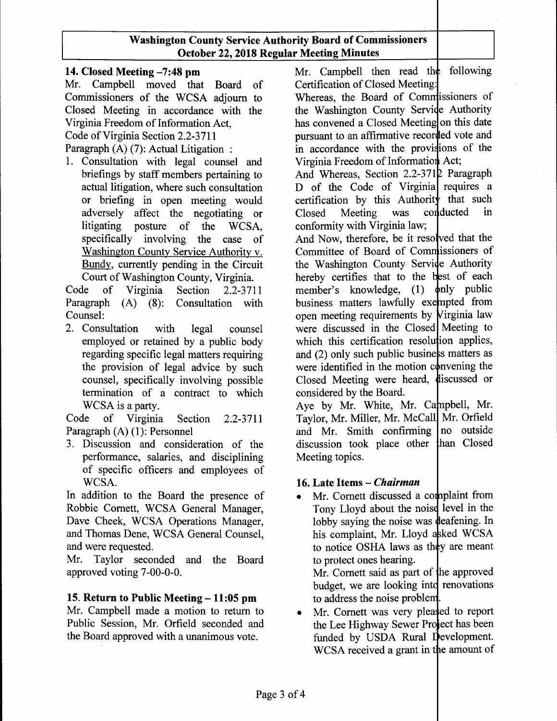## 14. Closed Meeting -7:48 pm

Mr. Campbell moved that Board of Commissioners of the WCSA adjourn to Closed Meeting in accordance with the Virginia Freedom of Information Act,

Code of Virginia Section 2.2-3711

Paragraph (A) (7): Actual Litigation :

1. Consultation with legal counsel and briefings by staff members pertaining to actual litigation, where such consultation or briefing in open meeting would adversely affect the negotiating or litigating posture of the WCSA, specifically involving the case of Washington County Service Authority v. Bundy, currently pending in the Circuit Court of Washington County, Virginia.

Code of Virginia Section 2.2-3711 Paragraph (A) (8): Consultation with Counsel:

2. Consultation with legal counsel employed or retained by a public body regarding specific legal matters requiring the provision of legal advice by such counsel, specifically involving possible termination of a contract to which WCSA is a party.

Code of Virginia Section 2.2-3711 Paragraph (A) (1): Personnel

3. Discussion and consideration of the performance, salaries, and disciplining of specific officers and employees of WCSA.

In addition to the Board the presence of Robbie Cornett, WCSA General Manager, Dave Cheek, WCSA Operations Manager, and Thomas Dene, WCSA General Counsel, and were requested.

Mr. Taylor seconded and the Board approved voting 7-00-0-0.

#### 15. Return to Public Meeting  $-11:05$  pm

Mr. Campbell made a motion to return to Public Session, Mr. Orfield seconded and the Board approved with a unanimous vote.

Mr. Campbell then read the following Certification of Closed Meeting:

Whereas, the Board of Commissioners of the Washington County Service Authority has convened a Closed Meeting on this date pursuant to an affirmative recorded vote and in accordance with the provisions of the Virginia Freedom of Information Act;

And Whereas, Section 2.2-3712 Paragraph D of the Code of Virginia requires a certification by this Authority that such Closed Meeting was conducted in conformity with Virginia law;

And Now, therefore, be it resolved that the Committee of Board of Commissioners of the Washington County Service Authority hereby certifies that to the best of each member's knowledge,  $(1)$   $\phi$ nly public business matters lawfully exempted from open meeting requirements by Virginia law were discussed in the Closed Meeting to which this certification resolution applies, and  $(2)$  only such public business matters as were identified in the motion convening the Closed Meeting were heard, discussed or considered by the Board.

Aye by Mr. White, Mr. Campbell, Mr. Taylor, Mr. Miller, Mr. McCall Mr. Orfield and Mr. Smith confirming no outside discussion took place other han Closed Meeting topics.

# 16. Late Items - *Chairman*

• Mr. Cornett discussed a complaint from Tony Lloyd about the noise level in the lobby saying the noise was deafening. In his complaint, Mr. Lloyd asked WCSA to notice OSHA laws as they are meant to protect ones hearing. Mr. Cornett said as part of he approved

budget, we are looking into renovations to address the noise problem

• Mr. Cornett was very pleased to report the Lee Highway Sewer Project has been funded by USDA Rural Development. WCSA received a grant in the amount of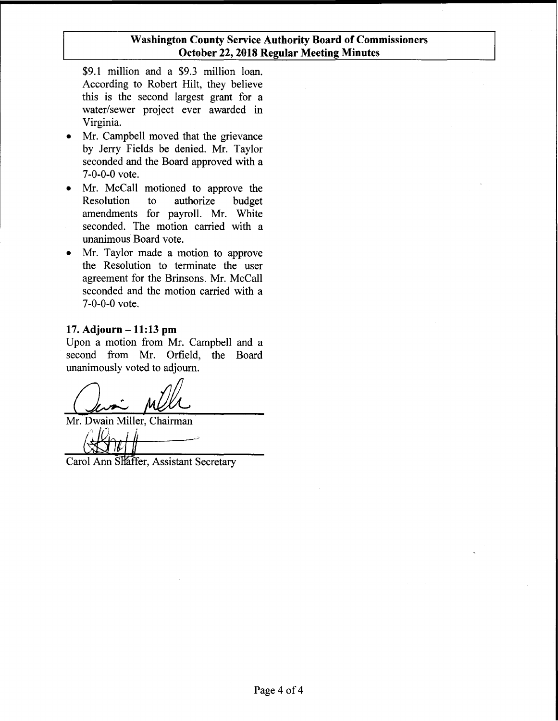\$9.1 million and a \$9.3 million loan. According to Robert Hilt, they believe this is the second largest grant for a water/sewer project ever awarded in Virginia.

- Mr. Campbell moved that the grievance by Jerry Fields be denied. Mr. Taylor seconded and the Board approved with a 7-0-0-0 vote.
- Mr. McCall motioned to approve the Resolution to authorize budget amendments for payroll. Mr. White seconded. The motion carried with a unanimous Board vote.
- Mr. Taylor made a motion to approve the Resolution to terminate the user agreement for the Brinsons. Mr. McCall seconded and the motion carried with a 7-0-0-0 vote.

#### **17. Adjourn - 11:13 pm**

Upon a motion from Mr. Campbell and a second from Mr. Orfield, the Board unanimously voted to adjourn.

Mr. Dwain Miller, Chairman

 $\frac{1}{\sqrt{2\pi t}}$ 

Carol Ann Shaffer, Assistant Secretary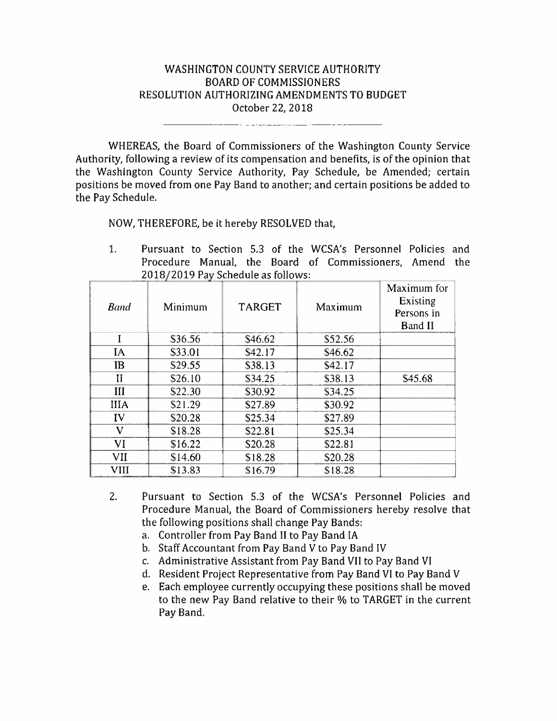# WASHINGTON COUNTY SERVICE AUTHORITY **BOARD OF COMMISSIONERS** RESOLUTION AUTHORIZING AMENDMENTS TO BUDGET October 22, 2018

WHEREAS, the Board of Commissioners of the Washington County Service Authority, following a review of its compensation and benefits, is of the opinion that the Washington County Service Authority, Pay Schedule, be Amended; certain positions be moved from one Pay Band to another; and certain positions be added to the Pay Schedule.

NOW, THEREFORE, be it hereby RESOLVED that,

 $1.$ Pursuant to Section 5.3 of the WCSA's Personnel Policies and Procedure Manual, the Board of Commissioners, Amend the 2018/2019 Pay Schedule as follows:

| <b>Band</b>  | Minimum | <b>TARGET</b>       | Maximum | Maximum for<br>Existing<br>Persons in<br><b>Band II</b> |
|--------------|---------|---------------------|---------|---------------------------------------------------------|
| I            | \$36.56 | \$46.62             | \$52.56 |                                                         |
| IA           | \$33.01 | S <sub>42</sub> .17 | \$46.62 |                                                         |
| <b>IB</b>    | \$29.55 | \$38.13             | \$42.17 |                                                         |
| $\mathbf{I}$ | \$26.10 | \$34.25             | \$38.13 | \$45.68                                                 |
| Ш            | \$22.30 | \$30.92             | \$34.25 |                                                         |
| <b>IIIA</b>  | \$21.29 | \$27.89             | \$30.92 |                                                         |
| IV           | \$20.28 | \$25.34             | \$27.89 |                                                         |
| V            | \$18.28 | \$22.81             | \$25.34 |                                                         |
| VI           | \$16.22 | \$20.28             | \$22.81 |                                                         |
| <b>VII</b>   | \$14.60 | \$18.28             | \$20.28 |                                                         |
| <b>VIII</b>  | \$13.83 | \$16.79             | \$18.28 |                                                         |

- $2.$ Pursuant to Section 5.3 of the WCSA's Personnel Policies and Procedure Manual, the Board of Commissioners hereby resolve that the following positions shall change Pay Bands:
	- a. Controller from Pay Band II to Pay Band IA
	- b. Staff Accountant from Pay Band V to Pay Band IV
	- c. Administrative Assistant from Pay Band VII to Pay Band VI
	- d. Resident Project Representative from Pay Band VI to Pay Band V
	- e. Each employee currently occupying these positions shall be moved to the new Pay Band relative to their % to TARGET in the current Pay Band.